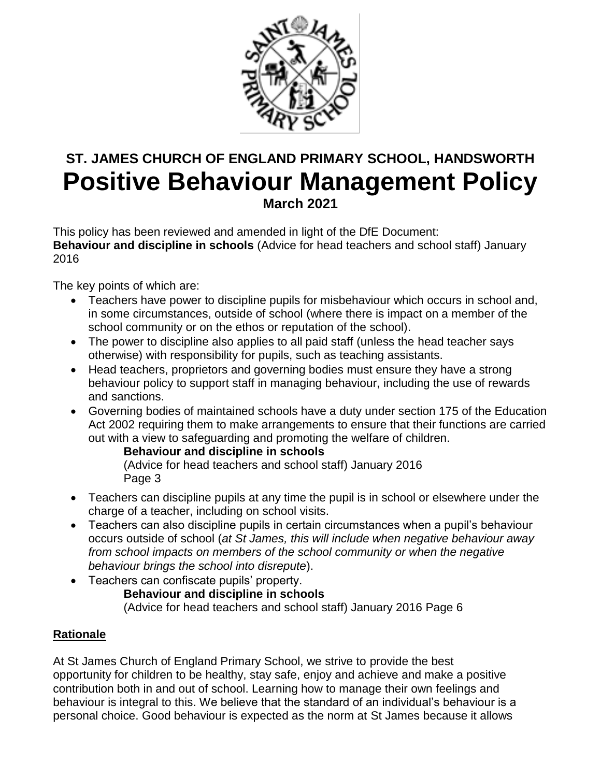

# **ST. JAMES CHURCH OF ENGLAND PRIMARY SCHOOL, HANDSWORTH Positive Behaviour Management Policy March 2021**

This policy has been reviewed and amended in light of the DfE Document: **Behaviour and discipline in schools** (Advice for head teachers and school staff) January 2016

The key points of which are:

- Teachers have power to discipline pupils for misbehaviour which occurs in school and, in some circumstances, outside of school (where there is impact on a member of the school community or on the ethos or reputation of the school).
- The power to discipline also applies to all paid staff (unless the head teacher says otherwise) with responsibility for pupils, such as teaching assistants.
- Head teachers, proprietors and governing bodies must ensure they have a strong behaviour policy to support staff in managing behaviour, including the use of rewards and sanctions.
- Governing bodies of maintained schools have a duty under section 175 of the Education Act 2002 requiring them to make arrangements to ensure that their functions are carried out with a view to safeguarding and promoting the welfare of children.

**Behaviour and discipline in schools**

(Advice for head teachers and school staff) January 2016 Page 3

- Teachers can discipline pupils at any time the pupil is in school or elsewhere under the charge of a teacher, including on school visits.
- Teachers can also discipline pupils in certain circumstances when a pupil's behaviour occurs outside of school (*at St James, this will include when negative behaviour away from school impacts on members of the school community or when the negative behaviour brings the school into disrepute*).
- Teachers can confiscate pupils' property. **Behaviour and discipline in schools** (Advice for head teachers and school staff) January 2016 Page 6

## **Rationale**

At St James Church of England Primary School, we strive to provide the best opportunity for children to be healthy, stay safe, enjoy and achieve and make a positive contribution both in and out of school. Learning how to manage their own feelings and behaviour is integral to this. We believe that the standard of an individual's behaviour is a personal choice. Good behaviour is expected as the norm at St James because it allows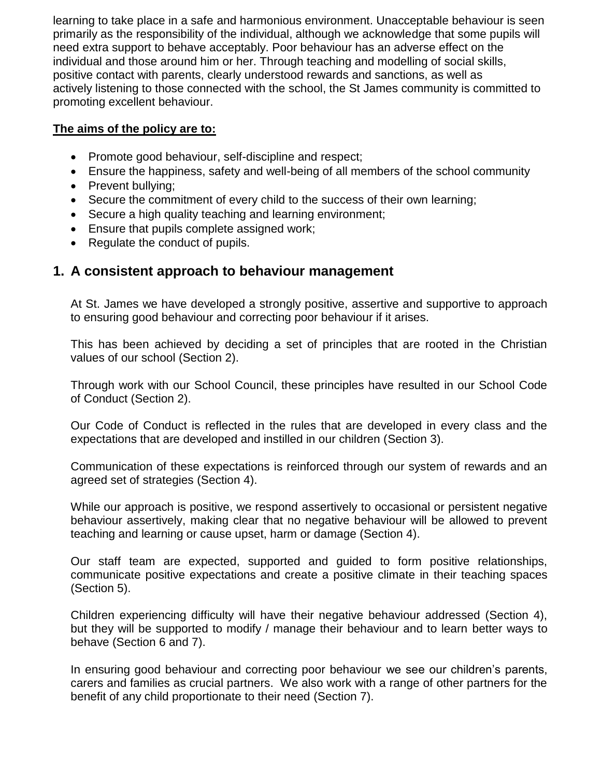learning to take place in a safe and harmonious environment. Unacceptable behaviour is seen primarily as the responsibility of the individual, although we acknowledge that some pupils will need extra support to behave acceptably. Poor behaviour has an adverse effect on the individual and those around him or her. Through teaching and modelling of social skills, positive contact with parents, clearly understood rewards and sanctions, as well as actively listening to those connected with the school, the St James community is committed to promoting excellent behaviour.

#### **The aims of the policy are to:**

- Promote good behaviour, self-discipline and respect;
- Ensure the happiness, safety and well-being of all members of the school community
- Prevent bullving:
- Secure the commitment of every child to the success of their own learning;
- Secure a high quality teaching and learning environment;
- **Ensure that pupils complete assigned work;**
- Regulate the conduct of pupils.

## **1. A consistent approach to behaviour management**

At St. James we have developed a strongly positive, assertive and supportive to approach to ensuring good behaviour and correcting poor behaviour if it arises.

This has been achieved by deciding a set of principles that are rooted in the Christian values of our school (Section 2).

Through work with our School Council, these principles have resulted in our School Code of Conduct (Section 2).

Our Code of Conduct is reflected in the rules that are developed in every class and the expectations that are developed and instilled in our children (Section 3).

Communication of these expectations is reinforced through our system of rewards and an agreed set of strategies (Section 4).

While our approach is positive, we respond assertively to occasional or persistent negative behaviour assertively, making clear that no negative behaviour will be allowed to prevent teaching and learning or cause upset, harm or damage (Section 4).

Our staff team are expected, supported and guided to form positive relationships, communicate positive expectations and create a positive climate in their teaching spaces (Section 5).

Children experiencing difficulty will have their negative behaviour addressed (Section 4), but they will be supported to modify / manage their behaviour and to learn better ways to behave (Section 6 and 7).

In ensuring good behaviour and correcting poor behaviour we see our children's parents, carers and families as crucial partners. We also work with a range of other partners for the benefit of any child proportionate to their need (Section 7).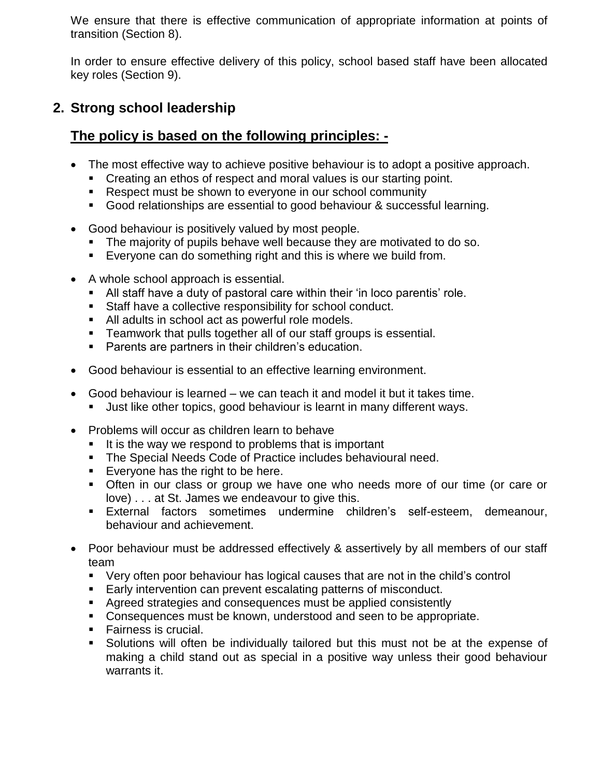We ensure that there is effective communication of appropriate information at points of transition (Section 8).

In order to ensure effective delivery of this policy, school based staff have been allocated key roles (Section 9).

## **2. Strong school leadership**

## **The policy is based on the following principles: -**

- The most effective way to achieve positive behaviour is to adopt a positive approach.
	- Creating an ethos of respect and moral values is our starting point.
	- **Respect must be shown to everyone in our school community**
	- Good relationships are essential to good behaviour & successful learning.
- Good behaviour is positively valued by most people.
	- The majority of pupils behave well because they are motivated to do so.
	- Everyone can do something right and this is where we build from.
- A whole school approach is essential.
	- All staff have a duty of pastoral care within their 'in loco parentis' role.
	- Staff have a collective responsibility for school conduct.
	- All adults in school act as powerful role models.
	- **Teamwork that pulls together all of our staff groups is essential.**
	- **Parents are partners in their children's education.**
- Good behaviour is essential to an effective learning environment.
- Good behaviour is learned we can teach it and model it but it takes time.
	- Just like other topics, good behaviour is learnt in many different ways.
- Problems will occur as children learn to behave
	- $\blacksquare$  It is the way we respond to problems that is important
	- **The Special Needs Code of Practice includes behavioural need.**
	- **Everyone has the right to be here.**
	- Often in our class or group we have one who needs more of our time (or care or love) . . . at St. James we endeavour to give this.
	- External factors sometimes undermine children's self-esteem, demeanour, behaviour and achievement.
- Poor behaviour must be addressed effectively & assertively by all members of our staff team
	- Very often poor behaviour has logical causes that are not in the child's control
	- **Early intervention can prevent escalating patterns of misconduct.**
	- Agreed strategies and consequences must be applied consistently
	- **Consequences must be known, understood and seen to be appropriate.**
	- **Fairness is crucial.**
	- Solutions will often be individually tailored but this must not be at the expense of making a child stand out as special in a positive way unless their good behaviour warrants it.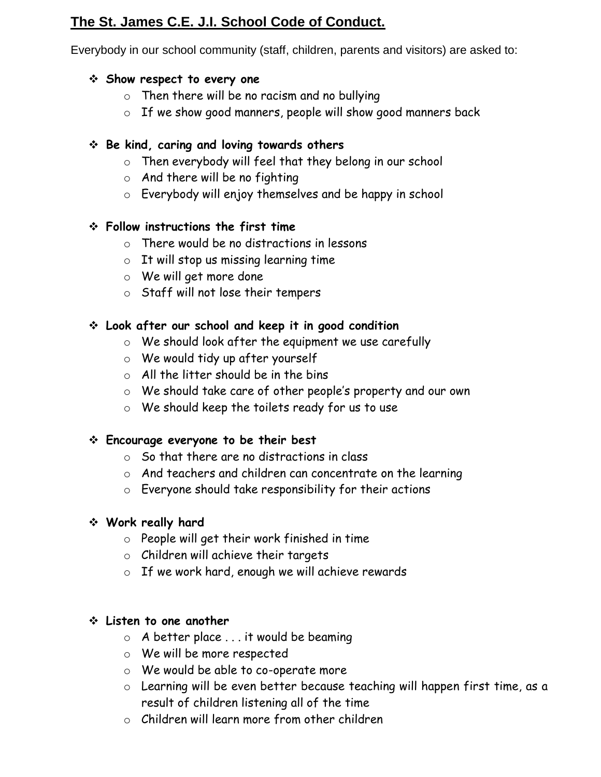## **The St. James C.E. J.I. School Code of Conduct.**

Everybody in our school community (staff, children, parents and visitors) are asked to:

## **Show respect to every one**

- o Then there will be no racism and no bullying
- o If we show good manners, people will show good manners back

## **Be kind, caring and loving towards others**

- o Then everybody will feel that they belong in our school
- $\circ$  And there will be no fighting
- o Everybody will enjoy themselves and be happy in school

## **Follow instructions the first time**

- o There would be no distractions in lessons
- $\circ$  It will stop us missing learning time
- o We will get more done
- o Staff will not lose their tempers

## **Look after our school and keep it in good condition**

- o We should look after the equipment we use carefully
- o We would tidy up after yourself
- $\circ$  All the litter should be in the bins
- o We should take care of other people's property and our own
- o We should keep the toilets ready for us to use

## **Encourage everyone to be their best**

- o So that there are no distractions in class
- o And teachers and children can concentrate on the learning
- o Everyone should take responsibility for their actions

## **Work really hard**

- o People will get their work finished in time
- o Children will achieve their targets
- o If we work hard, enough we will achieve rewards

## **Listen to one another**

- o A better place . . . it would be beaming
- o We will be more respected
- o We would be able to co-operate more
- o Learning will be even better because teaching will happen first time, as a result of children listening all of the time
- $\circ$  Children will learn more from other children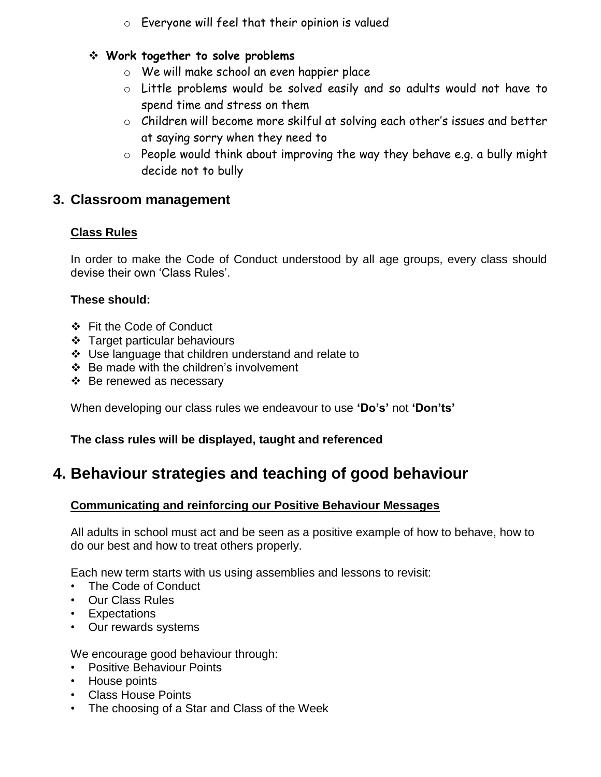o Everyone will feel that their opinion is valued

## **Work together to solve problems**

- o We will make school an even happier place
- o Little problems would be solved easily and so adults would not have to spend time and stress on them
- o Children will become more skilful at solving each other's issues and better at saying sorry when they need to
- $\circ$  People would think about improving the way they behave e.g. a bully might decide not to bully

## **3. Classroom management**

#### **Class Rules**

In order to make the Code of Conduct understood by all age groups, every class should devise their own 'Class Rules'.

#### **These should:**

- ❖ Fit the Code of Conduct
- Target particular behaviours
- Use language that children understand and relate to
- ❖ Be made with the children's involvement
- $\div$  Be renewed as necessary

When developing our class rules we endeavour to use **'Do's'** not **'Don'ts'**

## **The class rules will be displayed, taught and referenced**

## **4. Behaviour strategies and teaching of good behaviour**

## **Communicating and reinforcing our Positive Behaviour Messages**

All adults in school must act and be seen as a positive example of how to behave, how to do our best and how to treat others properly.

Each new term starts with us using assemblies and lessons to revisit:

- The Code of Conduct
- Our Class Rules
- Expectations
- Our rewards systems

We encourage good behaviour through:

- Positive Behaviour Points
- House points
- Class House Points
- The choosing of a Star and Class of the Week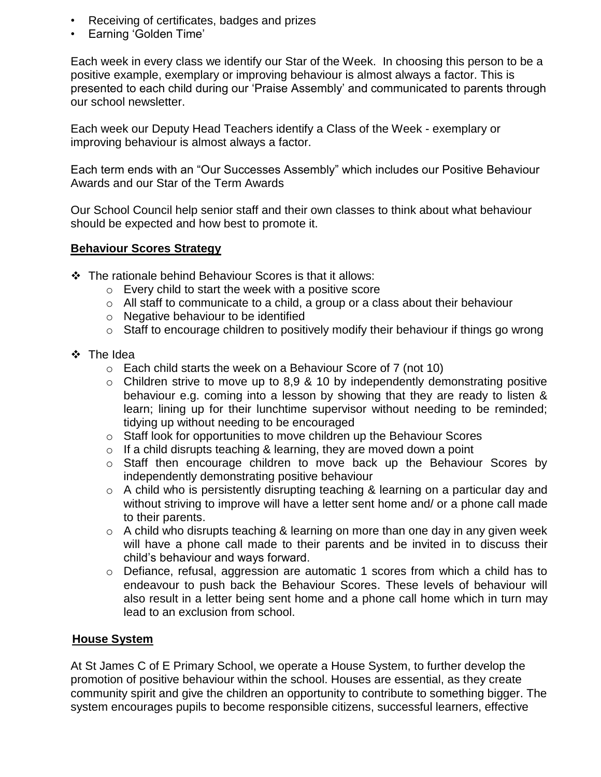- Receiving of certificates, badges and prizes
- Earning 'Golden Time'

Each week in every class we identify our Star of the Week. In choosing this person to be a positive example, exemplary or improving behaviour is almost always a factor. This is presented to each child during our 'Praise Assembly' and communicated to parents through our school newsletter.

Each week our Deputy Head Teachers identify a Class of the Week - exemplary or improving behaviour is almost always a factor.

Each term ends with an "Our Successes Assembly" which includes our Positive Behaviour Awards and our Star of the Term Awards

Our School Council help senior staff and their own classes to think about what behaviour should be expected and how best to promote it.

#### **Behaviour Scores Strategy**

- The rationale behind Behaviour Scores is that it allows:
	- o Every child to start the week with a positive score
	- o All staff to communicate to a child, a group or a class about their behaviour
	- o Negative behaviour to be identified
	- o Staff to encourage children to positively modify their behaviour if things go wrong
- The Idea
	- o Each child starts the week on a Behaviour Score of 7 (not 10)
	- $\circ$  Children strive to move up to 8,9 & 10 by independently demonstrating positive behaviour e.g. coming into a lesson by showing that they are ready to listen & learn; lining up for their lunchtime supervisor without needing to be reminded; tidying up without needing to be encouraged
	- $\circ$  Staff look for opportunities to move children up the Behaviour Scores
	- $\circ$  If a child disrupts teaching & learning, they are moved down a point
	- $\circ$  Staff then encourage children to move back up the Behaviour Scores by independently demonstrating positive behaviour
	- o A child who is persistently disrupting teaching & learning on a particular day and without striving to improve will have a letter sent home and/ or a phone call made to their parents.
	- $\circ$  A child who disrupts teaching & learning on more than one day in any given week will have a phone call made to their parents and be invited in to discuss their child's behaviour and ways forward.
	- $\circ$  Defiance, refusal, aggression are automatic 1 scores from which a child has to endeavour to push back the Behaviour Scores. These levels of behaviour will also result in a letter being sent home and a phone call home which in turn may lead to an exclusion from school.

#### **House System**

At St James C of E Primary School, we operate a House System, to further develop the promotion of positive behaviour within the school. Houses are essential, as they create community spirit and give the children an opportunity to contribute to something bigger. The system encourages pupils to become responsible citizens, successful learners, effective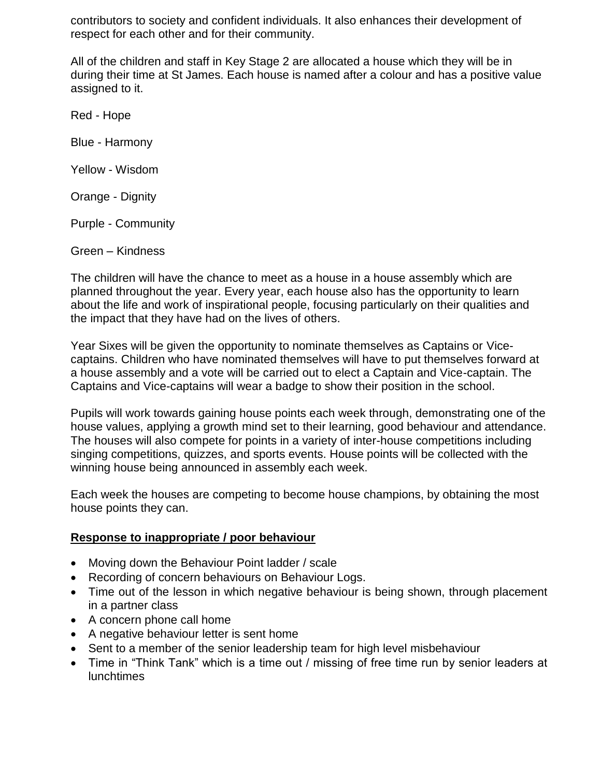contributors to society and confident individuals. It also enhances their development of respect for each other and for their community.

All of the children and staff in Key Stage 2 are allocated a house which they will be in during their time at St James. Each house is named after a colour and has a positive value assigned to it.

Red - Hope

Blue - Harmony

Yellow - Wisdom

Orange - Dignity

Purple - Community

Green – Kindness

The children will have the chance to meet as a house in a house assembly which are planned throughout the year. Every year, each house also has the opportunity to learn about the life and work of inspirational people, focusing particularly on their qualities and the impact that they have had on the lives of others.

Year Sixes will be given the opportunity to nominate themselves as Captains or Vicecaptains. Children who have nominated themselves will have to put themselves forward at a house assembly and a vote will be carried out to elect a Captain and Vice-captain. The Captains and Vice-captains will wear a badge to show their position in the school.

Pupils will work towards gaining house points each week through, demonstrating one of the house values, applying a growth mind set to their learning, good behaviour and attendance. The houses will also compete for points in a variety of inter-house competitions including singing competitions, quizzes, and sports events. House points will be collected with the winning house being announced in assembly each week.

Each week the houses are competing to become house champions, by obtaining the most house points they can.

#### **Response to inappropriate / poor behaviour**

- Moving down the Behaviour Point ladder / scale
- Recording of concern behaviours on Behaviour Logs.
- Time out of the lesson in which negative behaviour is being shown, through placement in a partner class
- A concern phone call home
- A negative behaviour letter is sent home
- Sent to a member of the senior leadership team for high level misbehaviour
- Time in "Think Tank" which is a time out / missing of free time run by senior leaders at lunchtimes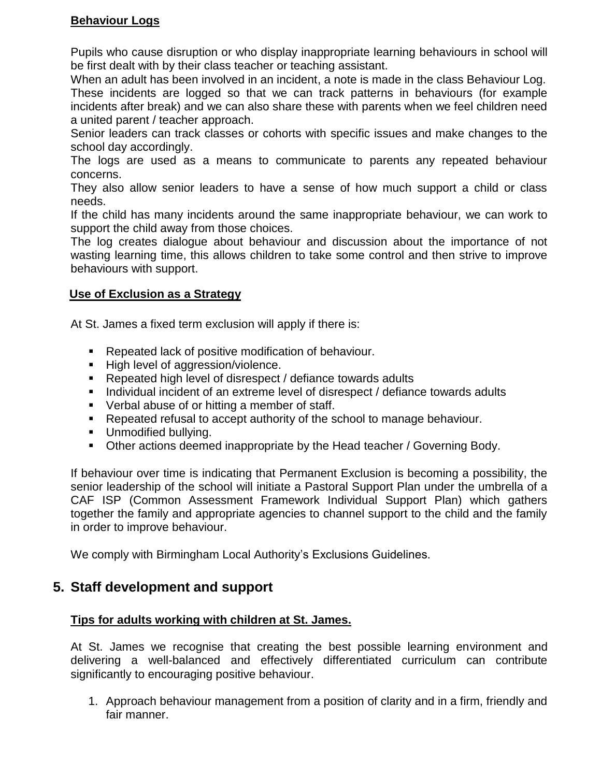## **Behaviour Logs**

Pupils who cause disruption or who display inappropriate learning behaviours in school will be first dealt with by their class teacher or teaching assistant.

When an adult has been involved in an incident, a note is made in the class Behaviour Log. These incidents are logged so that we can track patterns in behaviours (for example incidents after break) and we can also share these with parents when we feel children need a united parent / teacher approach.

Senior leaders can track classes or cohorts with specific issues and make changes to the school day accordingly.

The logs are used as a means to communicate to parents any repeated behaviour concerns.

They also allow senior leaders to have a sense of how much support a child or class needs.

If the child has many incidents around the same inappropriate behaviour, we can work to support the child away from those choices.

The log creates dialogue about behaviour and discussion about the importance of not wasting learning time, this allows children to take some control and then strive to improve behaviours with support.

#### **Use of Exclusion as a Strategy**

At St. James a fixed term exclusion will apply if there is:

- **Repeated lack of positive modification of behaviour.**
- High level of aggression/violence.
- Repeated high level of disrespect / defiance towards adults
- Individual incident of an extreme level of disrespect / defiance towards adults
- **•** Verbal abuse of or hitting a member of staff.
- **Repeated refusal to accept authority of the school to manage behaviour.**
- **Unmodified bullying.**
- **Other actions deemed inappropriate by the Head teacher / Governing Body.**

If behaviour over time is indicating that Permanent Exclusion is becoming a possibility, the senior leadership of the school will initiate a Pastoral Support Plan under the umbrella of a CAF ISP (Common Assessment Framework Individual Support Plan) which gathers together the family and appropriate agencies to channel support to the child and the family in order to improve behaviour.

We comply with Birmingham Local Authority's Exclusions Guidelines.

## **5. Staff development and support**

#### **Tips for adults working with children at St. James.**

At St. James we recognise that creating the best possible learning environment and delivering a well-balanced and effectively differentiated curriculum can contribute significantly to encouraging positive behaviour.

1. Approach behaviour management from a position of clarity and in a firm, friendly and fair manner.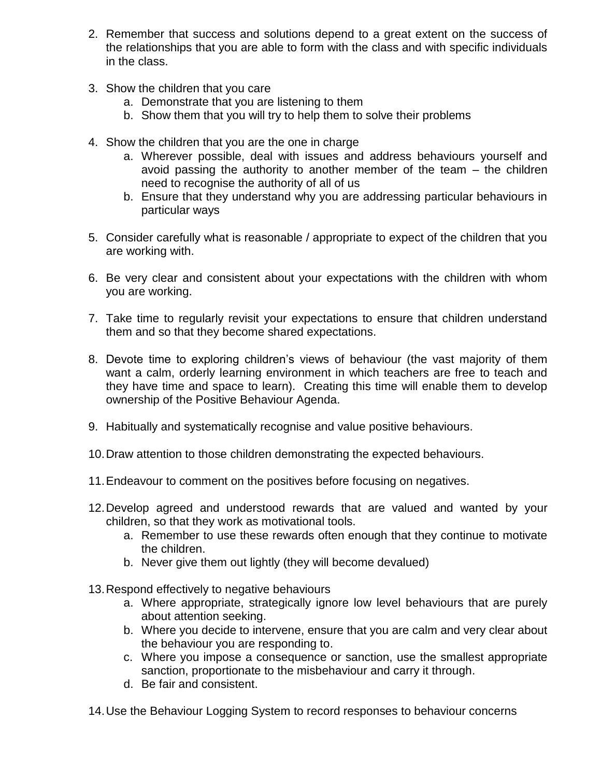- 2. Remember that success and solutions depend to a great extent on the success of the relationships that you are able to form with the class and with specific individuals in the class.
- 3. Show the children that you care
	- a. Demonstrate that you are listening to them
	- b. Show them that you will try to help them to solve their problems
- 4. Show the children that you are the one in charge
	- a. Wherever possible, deal with issues and address behaviours yourself and avoid passing the authority to another member of the team – the children need to recognise the authority of all of us
	- b. Ensure that they understand why you are addressing particular behaviours in particular ways
- 5. Consider carefully what is reasonable / appropriate to expect of the children that you are working with.
- 6. Be very clear and consistent about your expectations with the children with whom you are working.
- 7. Take time to regularly revisit your expectations to ensure that children understand them and so that they become shared expectations.
- 8. Devote time to exploring children's views of behaviour (the vast majority of them want a calm, orderly learning environment in which teachers are free to teach and they have time and space to learn). Creating this time will enable them to develop ownership of the Positive Behaviour Agenda.
- 9. Habitually and systematically recognise and value positive behaviours.
- 10.Draw attention to those children demonstrating the expected behaviours.
- 11.Endeavour to comment on the positives before focusing on negatives.
- 12.Develop agreed and understood rewards that are valued and wanted by your children, so that they work as motivational tools.
	- a. Remember to use these rewards often enough that they continue to motivate the children.
	- b. Never give them out lightly (they will become devalued)
- 13.Respond effectively to negative behaviours
	- a. Where appropriate, strategically ignore low level behaviours that are purely about attention seeking.
	- b. Where you decide to intervene, ensure that you are calm and very clear about the behaviour you are responding to.
	- c. Where you impose a consequence or sanction, use the smallest appropriate sanction, proportionate to the misbehaviour and carry it through.
	- d. Be fair and consistent.
- 14.Use the Behaviour Logging System to record responses to behaviour concerns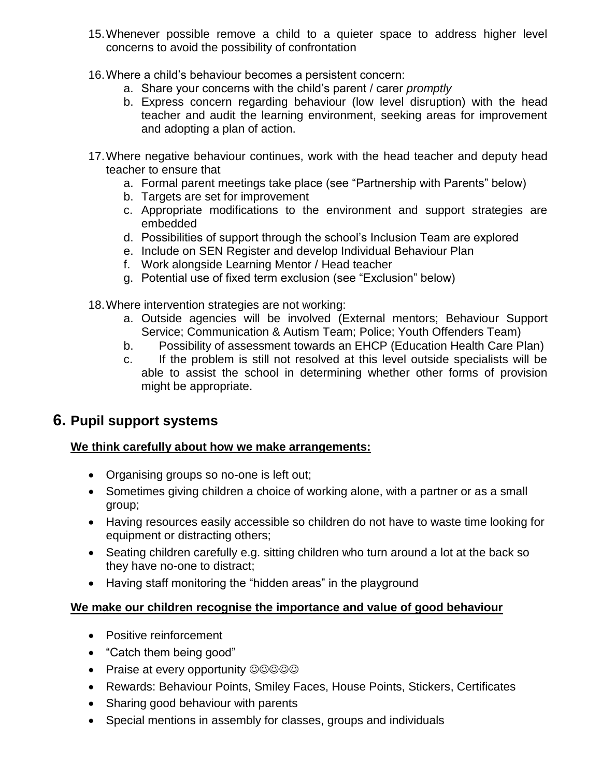- 15.Whenever possible remove a child to a quieter space to address higher level concerns to avoid the possibility of confrontation
- 16.Where a child's behaviour becomes a persistent concern:
	- a. Share your concerns with the child's parent / carer *promptly*
	- b. Express concern regarding behaviour (low level disruption) with the head teacher and audit the learning environment, seeking areas for improvement and adopting a plan of action.
- 17.Where negative behaviour continues, work with the head teacher and deputy head teacher to ensure that
	- a. Formal parent meetings take place (see "Partnership with Parents" below)
	- b. Targets are set for improvement
	- c. Appropriate modifications to the environment and support strategies are embedded
	- d. Possibilities of support through the school's Inclusion Team are explored
	- e. Include on SEN Register and develop Individual Behaviour Plan
	- f. Work alongside Learning Mentor / Head teacher
	- g. Potential use of fixed term exclusion (see "Exclusion" below)
- 18.Where intervention strategies are not working:
	- a. Outside agencies will be involved (External mentors; Behaviour Support Service; Communication & Autism Team; Police; Youth Offenders Team)
	- b. Possibility of assessment towards an EHCP (Education Health Care Plan)
	- c. If the problem is still not resolved at this level outside specialists will be able to assist the school in determining whether other forms of provision might be appropriate.

## **6. Pupil support systems**

## **We think carefully about how we make arrangements:**

- Organising groups so no-one is left out;
- Sometimes giving children a choice of working alone, with a partner or as a small group;
- Having resources easily accessible so children do not have to waste time looking for equipment or distracting others;
- Seating children carefully e.g. sitting children who turn around a lot at the back so they have no-one to distract;
- Having staff monitoring the "hidden areas" in the playground

## **We make our children recognise the importance and value of good behaviour**

- Positive reinforcement
- "Catch them being good"
- Praise at every opportunity ©©©©©
- Rewards: Behaviour Points, Smiley Faces, House Points, Stickers, Certificates
- Sharing good behaviour with parents
- Special mentions in assembly for classes, groups and individuals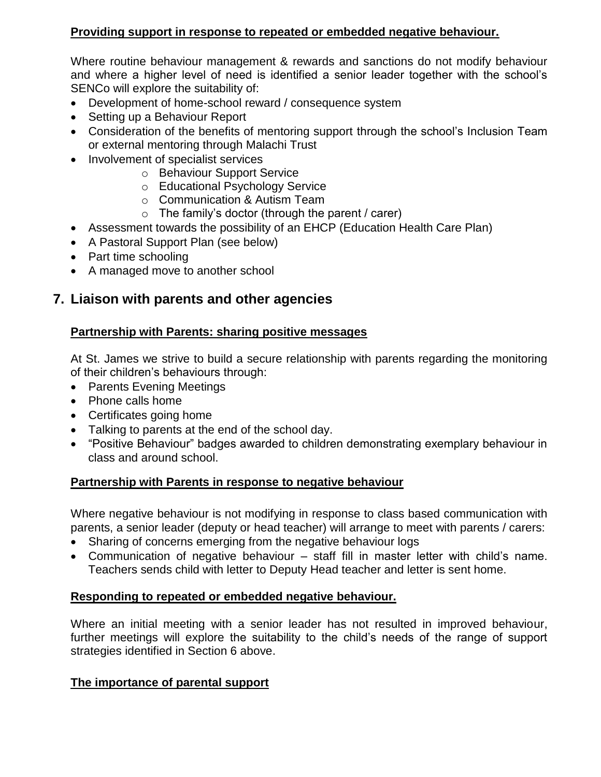## **Providing support in response to repeated or embedded negative behaviour.**

Where routine behaviour management & rewards and sanctions do not modify behaviour and where a higher level of need is identified a senior leader together with the school's SENCo will explore the suitability of:

- Development of home-school reward / consequence system
- Setting up a Behaviour Report
- Consideration of the benefits of mentoring support through the school's Inclusion Team or external mentoring through Malachi Trust
- Involvement of specialist services
	- o Behaviour Support Service
	- o Educational Psychology Service
	- o Communication & Autism Team
	- $\circ$  The family's doctor (through the parent / carer)
- Assessment towards the possibility of an EHCP (Education Health Care Plan)
- A Pastoral Support Plan (see below)
- Part time schooling
- A managed move to another school

## **7. Liaison with parents and other agencies**

#### **Partnership with Parents: sharing positive messages**

At St. James we strive to build a secure relationship with parents regarding the monitoring of their children's behaviours through:

- Parents Evening Meetings
- Phone calls home
- Certificates going home
- Talking to parents at the end of the school day.
- "Positive Behaviour" badges awarded to children demonstrating exemplary behaviour in class and around school.

#### **Partnership with Parents in response to negative behaviour**

Where negative behaviour is not modifying in response to class based communication with parents, a senior leader (deputy or head teacher) will arrange to meet with parents / carers:

- Sharing of concerns emerging from the negative behaviour logs
- Communication of negative behaviour staff fill in master letter with child's name. Teachers sends child with letter to Deputy Head teacher and letter is sent home.

#### **Responding to repeated or embedded negative behaviour.**

Where an initial meeting with a senior leader has not resulted in improved behaviour, further meetings will explore the suitability to the child's needs of the range of support strategies identified in Section 6 above.

#### **The importance of parental support**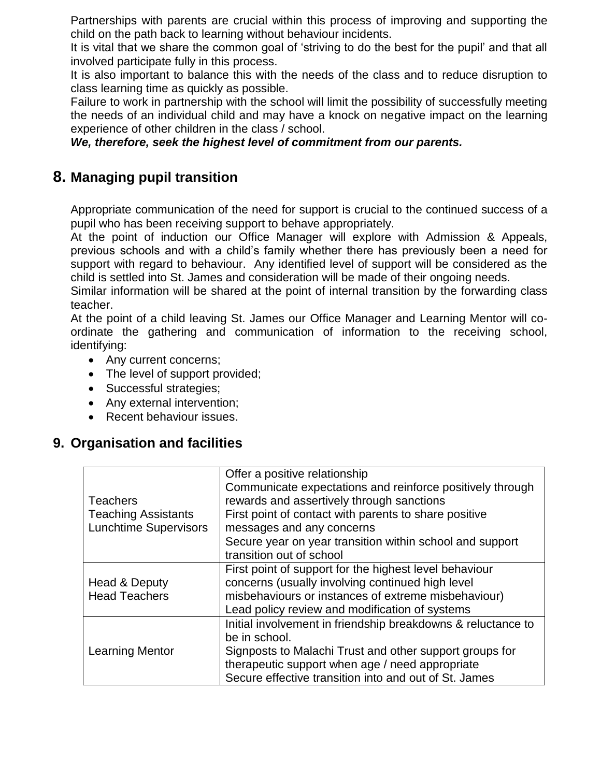Partnerships with parents are crucial within this process of improving and supporting the child on the path back to learning without behaviour incidents.

It is vital that we share the common goal of 'striving to do the best for the pupil' and that all involved participate fully in this process.

It is also important to balance this with the needs of the class and to reduce disruption to class learning time as quickly as possible.

Failure to work in partnership with the school will limit the possibility of successfully meeting the needs of an individual child and may have a knock on negative impact on the learning experience of other children in the class / school.

*We, therefore, seek the highest level of commitment from our parents.*

## **8. Managing pupil transition**

Appropriate communication of the need for support is crucial to the continued success of a pupil who has been receiving support to behave appropriately.

At the point of induction our Office Manager will explore with Admission & Appeals, previous schools and with a child's family whether there has previously been a need for support with regard to behaviour. Any identified level of support will be considered as the child is settled into St. James and consideration will be made of their ongoing needs.

Similar information will be shared at the point of internal transition by the forwarding class teacher.

At the point of a child leaving St. James our Office Manager and Learning Mentor will coordinate the gathering and communication of information to the receiving school, identifying:

- Any current concerns;
- The level of support provided;
- Successful strategies;
- Any external intervention;
- Recent behaviour issues.

## **9. Organisation and facilities**

|                              | Offer a positive relationship                                |
|------------------------------|--------------------------------------------------------------|
|                              | Communicate expectations and reinforce positively through    |
| <b>Teachers</b>              | rewards and assertively through sanctions                    |
| <b>Teaching Assistants</b>   | First point of contact with parents to share positive        |
| <b>Lunchtime Supervisors</b> | messages and any concerns                                    |
|                              | Secure year on year transition within school and support     |
|                              | transition out of school                                     |
|                              | First point of support for the highest level behaviour       |
| Head & Deputy                | concerns (usually involving continued high level             |
| <b>Head Teachers</b>         | misbehaviours or instances of extreme misbehaviour)          |
|                              | Lead policy review and modification of systems               |
|                              | Initial involvement in friendship breakdowns & reluctance to |
| <b>Learning Mentor</b>       | be in school.                                                |
|                              | Signposts to Malachi Trust and other support groups for      |
|                              | therapeutic support when age / need appropriate              |
|                              | Secure effective transition into and out of St. James        |